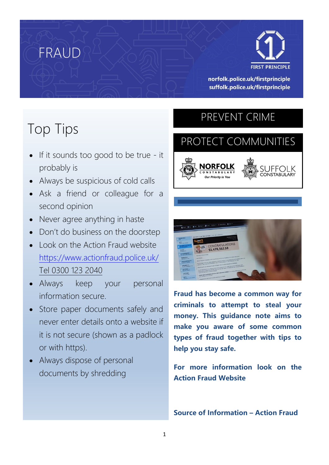

norfolk.police.uk/firstprinciple suffolk.police.uk/firstprinciple

# Top Tips

FRAUD

- If it sounds too good to be true it probably is
- Always be suspicious of cold calls
- Ask a friend or colleague for a second opinion
- Never agree anything in haste
- Don't do business on the doorstep
- Look on the Action Fraud website <https://www.actionfraud.police.uk/> Tel 0300 123 2040
- Always keep your personal information secure.
- Store paper documents safely and never enter details onto a website if it is not secure (shown as a padlock or with https).
- Always dispose of personal documents by shredding

## PREVENT CRIME

l

# PROTECT COMMUNITIES





**Fraud has become a common way for criminals to attempt to steal your money. This guidance note aims to make you aware of some common types of fraud together with tips to help you stay safe.**

**For more information look on the Action Fraud Website**

**Source of Information – Action Fraud**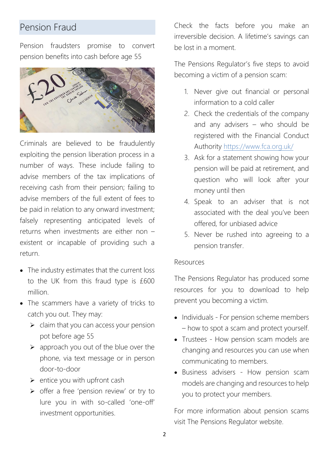### Pension Fraud

Pension fraudsters promise to convert pension benefits into cash before age 55



Criminals are believed to be fraudulently exploiting the pension liberation process in a number of ways. These include failing to advise members of the tax implications of receiving cash from their pension; failing to advise members of the full extent of fees to be paid in relation to any onward investment; falsely representing anticipated levels of returns when investments are either non – existent or incapable of providing such a return.

- The industry estimates that the current loss to the UK from this fraud type is £600 million.
- The scammers have a variety of tricks to catch you out. They may:
	- $\triangleright$  claim that you can access your pension pot before age 55
	- ➢ approach you out of the blue over the phone, via text message or in person door-to-door
	- $\triangleright$  entice you with upfront cash
	- ➢ offer a free 'pension review' or try to lure you in with so-called 'one-off' investment opportunities.

Check the facts before you make an irreversible decision. A lifetime's savings can be lost in a moment.

The Pensions Regulator's five steps to avoid becoming a victim of a pension scam:

- 1. Never give out financial or personal information to a cold caller
- 2. Check the credentials of the company and any advisers – who should be registered with the Financial Conduct Authority<https://www.fca.org.uk/>
- 3. Ask for a statement showing how your pension will be paid at retirement, and question who will look after your money until then
- 4. Speak to an adviser that is not associated with the deal you've been offered, for unbiased advice
- 5. Never be rushed into agreeing to a pension transfer.

#### Resources

The Pensions Regulator has produced some resources for you to download to help prevent you becoming a victim.

- Individuals For pension scheme members – how to spot a scam and protect yourself.
- Trustees How pension scam models are changing and resources you can use when communicating to members.
- Business advisers How pension scam models are changing and resources to help you to protect your members.

For more information about pension scams visit The Pensions Regulator website.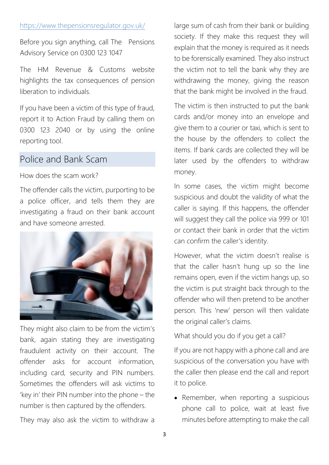#### <https://www.thepensionsregulator.gov.uk/>

Before you sign anything, call The Pensions Advisory Service on 0300 123 1047

The HM Revenue & Customs website highlights the tax consequences of pension liberation to individuals.

If you have been a victim of this type of fraud, report it to Action Fraud by calling them on 0300 123 2040 or by using the online reporting tool.

### Police and Bank Scam

How does the scam work?

The offender calls the victim, purporting to be a police officer, and tells them they are investigating a fraud on their bank account and have someone arrested.



They might also claim to be from the victim's bank, again stating they are investigating fraudulent activity on their account. The offender asks for account information, including card, security and PIN numbers. Sometimes the offenders will ask victims to 'key in' their PIN number into the phone – the number is then captured by the offenders.

They may also ask the victim to withdraw a

large sum of cash from their bank or building society. If they make this request they will explain that the money is required as it needs to be forensically examined. They also instruct the victim not to tell the bank why they are withdrawing the money, giving the reason that the bank might be involved in the fraud.

The victim is then instructed to put the bank cards and/or money into an envelope and give them to a courier or taxi, which is sent to the house by the offenders to collect the items. If bank cards are collected they will be later used by the offenders to withdraw money.

In some cases, the victim might become suspicious and doubt the validity of what the caller is saying. If this happens, the offender will suggest they call the police via 999 or 101 or contact their bank in order that the victim can confirm the caller's identity.

However, what the victim doesn't realise is that the caller hasn't hung up so the line remains open, even if the victim hangs up, so the victim is put straight back through to the offender who will then pretend to be another person. This 'new' person will then validate the original caller's claims.

What should you do if you get a call?

If you are not happy with a phone call and are suspicious of the conversation you have with the caller then please end the call and report it to police.

• Remember, when reporting a suspicious phone call to police, wait at least five minutes before attempting to make the call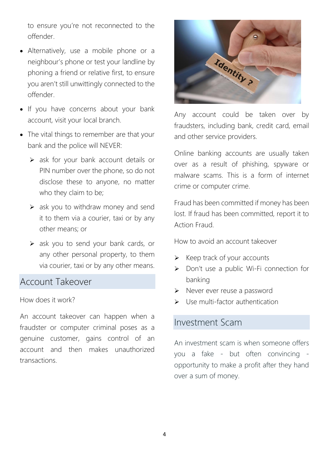to ensure you're not reconnected to the offender.

- Alternatively, use a mobile phone or a neighbour's phone or test your landline by phoning a friend or relative first, to ensure you aren't still unwittingly connected to the offender.
- If you have concerns about your bank account, visit your local branch.
- The vital things to remember are that your bank and the police will NEVER:
	- ➢ ask for your bank account details or PIN number over the phone, so do not disclose these to anyone, no matter who they claim to be;
	- $\triangleright$  ask you to withdraw money and send it to them via a courier, taxi or by any other means; or
	- ➢ ask you to send your bank cards, or any other personal property, to them via courier, taxi or by any other means.

### Account Takeover

How does it work?

An account takeover can happen when a fraudster or computer criminal poses as a genuine customer, gains control of an account and then makes unauthorized transactions.



Any account could be taken over by fraudsters, including bank, credit card, email and other service providers.

Online banking accounts are usually taken over as a result of phishing, spyware or malware scams. This is a form of internet crime or computer crime.

Fraud has been committed if money has been lost. If fraud has been committed, report it to Action Fraud.

How to avoid an account takeover

- $\triangleright$  Keep track of your accounts
- ➢ Don't use a public Wi-Fi connection for banking
- ➢ Never ever reuse a password
- $\triangleright$  Use multi-factor authentication

### Investment Scam

An investment scam is when someone offers you a fake - but often convincing opportunity to make a profit after they hand over a sum of money.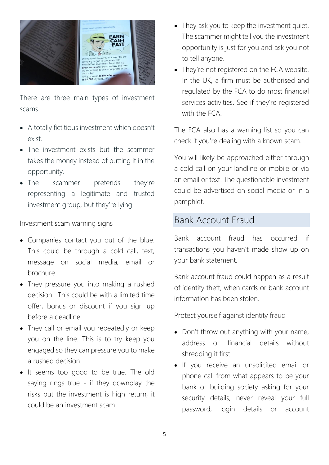

There are three main types of investment scams.

- A totally fictitious investment which doesn't exist.
- The investment exists but the scammer takes the money instead of putting it in the opportunity.
- The scammer pretends they're representing a legitimate and trusted investment group, but they're lying.

Investment scam warning signs

- Companies contact you out of the blue. This could be through a cold call, text, message on social media, email or brochure.
- They pressure you into making a rushed decision. This could be with a limited time offer, bonus or discount if you sign up before a deadline.
- They call or email you repeatedly or keep you on the line. This is to try keep you engaged so they can pressure you to make a rushed decision.
- It seems too good to be true. The old saying rings true - if they downplay the risks but the investment is high return, it could be an investment scam.
- They ask you to keep the investment quiet. The scammer might tell you the investment opportunity is just for you and ask you not to tell anyone.
- They're not registered on the FCA website. In the UK, a firm must be authorised and regulated by the FCA to do most financial services activities. See if they're registered with the FCA

The FCA also has a warning list so you can check if you're dealing with a known scam.

You will likely be approached either through a cold call on your landline or mobile or via an email or text. The questionable investment could be advertised on social media or in a pamphlet.

### Bank Account Fraud

Bank account fraud has occurred if transactions you haven't made show up on your bank statement.

Bank account fraud could happen as a result of identity theft, when cards or bank account information has been stolen.

Protect yourself against identity fraud

- Don't throw out anything with your name, address or financial details without shredding it first.
- If you receive an unsolicited email or phone call from what appears to be your bank or building society asking for your security details, never reveal your full password, login details or account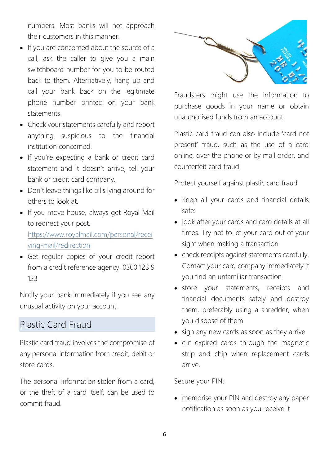numbers. Most banks will not approach their customers in this manner.

- If you are concerned about the source of a call, ask the caller to give you a main switchboard number for you to be routed back to them. Alternatively, hang up and call your bank back on the legitimate phone number printed on your bank statements.
- Check your statements carefully and report anything suspicious to the financial institution concerned.
- If you're expecting a bank or credit card statement and it doesn't arrive, tell your bank or credit card company.
- Don't leave things like bills lying around for others to look at.
- If you move house, always get Royal Mail to redirect your post.

[https://www.royalmail.com/personal/recei](https://www.royalmail.com/personal/receiving-mail/redirection) [ving-mail/redirection](https://www.royalmail.com/personal/receiving-mail/redirection)

• Get regular copies of your credit report from a credit reference agency. 0300 123 9 123

Notify your bank immediately if you see any unusual activity on your account.

### Plastic Card Fraud

Plastic card fraud involves the compromise of any personal information from credit, debit or store cards.

The personal information stolen from a card, or the theft of a card itself, can be used to commit fraud.



Fraudsters might use the information to purchase goods in your name or obtain unauthorised funds from an account.

Plastic card fraud can also include 'card not present' fraud, such as the use of a card online, over the phone or by mail order, and counterfeit card fraud.

Protect yourself against plastic card fraud

- Keep all your cards and financial details safe:
- look after your cards and card details at all times. Try not to let your card out of your sight when making a transaction
- check receipts against statements carefully. Contact your card company immediately if you find an unfamiliar transaction
- store your statements, receipts and financial documents safely and destroy them, preferably using a shredder, when you dispose of them
- sign any new cards as soon as they arrive
- cut expired cards through the magnetic strip and chip when replacement cards arrive.

Secure your PIN:

• memorise your PIN and destroy any paper notification as soon as you receive it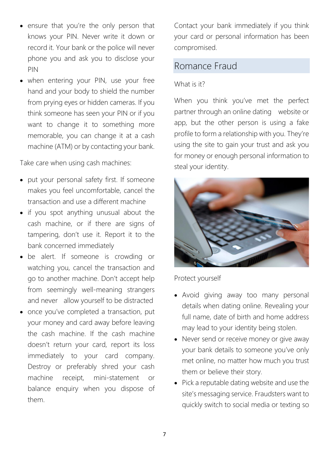- ensure that you're the only person that knows your PIN. Never write it down or record it. Your bank or the police will never phone you and ask you to disclose your PIN
- when entering your PIN, use your free hand and your body to shield the number from prying eyes or hidden cameras. If you think someone has seen your PIN or if you want to change it to something more memorable, you can change it at a cash machine (ATM) or by contacting your bank.

Take care when using cash machines:

- put your personal safety first. If someone makes you feel uncomfortable, cancel the transaction and use a different machine
- if you spot anything unusual about the cash machine, or if there are signs of tampering, don't use it. Report it to the bank concerned immediately
- be alert. If someone is crowding or watching you, cancel the transaction and go to another machine. Don't accept help from seemingly well-meaning strangers and never allow yourself to be distracted
- once you've completed a transaction, put your money and card away before leaving the cash machine. If the cash machine doesn't return your card, report its loss immediately to your card company. Destroy or preferably shred your cash machine receipt, mini-statement or balance enquiry when you dispose of them.

Contact your bank immediately if you think your card or personal information has been compromised.

### Romance Fraud

#### What is it?

When you think you've met the perfect partner through an online dating website or app, but the other person is using a fake profile to form a relationship with you. They're using the site to gain your trust and ask you for money or enough personal information to steal your identity.



Protect yourself

- Avoid giving away too many personal details when dating online. Revealing your full name, date of birth and home address may lead to your identity being stolen.
- Never send or receive money or give away your bank details to someone you've only met online, no matter how much you trust them or believe their story.
- Pick a reputable dating website and use the site's messaging service. Fraudsters want to quickly switch to social media or texting so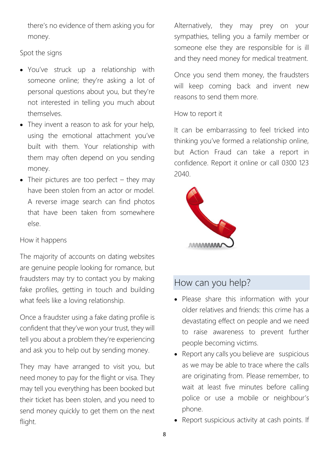there's no evidence of them asking you for money.

Spot the signs

- You've struck up a relationship with someone online; they're asking a lot of personal questions about you, but they're not interested in telling you much about themselves.
- They invent a reason to ask for your help, using the emotional attachment you've built with them. Your relationship with them may often depend on you sending money.
- Their pictures are too perfect they may have been stolen from an actor or model. A reverse image search can find photos that have been taken from somewhere else.

### How it happens

The majority of accounts on dating websites are genuine people looking for romance, but fraudsters may try to contact you by making fake profiles, getting in touch and building what feels like a loving relationship.

Once a fraudster using a fake dating profile is confident that they've won your trust, they will tell you about a problem they're experiencing and ask you to help out by sending money.

They may have arranged to visit you, but need money to pay for the flight or visa. They may tell you everything has been booked but their ticket has been stolen, and you need to send money quickly to get them on the next flight.

Alternatively, they may prey on your sympathies, telling you a family member or someone else they are responsible for is ill and they need money for medical treatment.

Once you send them money, the fraudsters will keep coming back and invent new reasons to send them more.

#### How to report it

It can be embarrassing to feel tricked into thinking you've formed a relationship online, but Action Fraud can take a report in confidence. Report it online or call 0300 123 2040.



### How can you help?

- Please share this information with your older relatives and friends: this crime has a devastating effect on people and we need to raise awareness to prevent further people becoming victims.
- Report any calls you believe are suspicious as we may be able to trace where the calls are originating from. Please remember, to wait at least five minutes before calling police or use a mobile or neighbour's phone.
- Report suspicious activity at cash points. If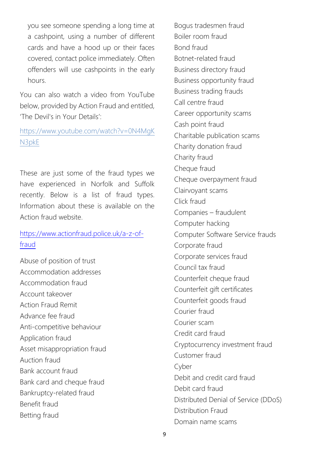you see someone spending a long time at a cashpoint, using a number of different cards and have a hood up or their faces covered, contact police immediately. Often offenders will use cashpoints in the early hours.

You can also watch a video from YouTube below, provided by Action Fraud and entitled, 'The Devil's in Your Details':

[https://www.youtube.com/watch?v=0N4MgK](https://www.youtube.com/watch?v=0N4MgKN3pkE) [N3pkE](https://www.youtube.com/watch?v=0N4MgKN3pkE)

These are just some of the fraud types we have experienced in Norfolk and Suffolk recently. Below is a list of fraud types. Information about these is available on the Action fraud website.

#### [https://www.actionfraud.police.uk/a-z-of](https://www.actionfraud.police.uk/a-z-of-fraud)[fraud](https://www.actionfraud.police.uk/a-z-of-fraud)

Abuse of position of trust Accommodation addresses Accommodation fraud Account takeover Action Fraud Remit Advance fee fraud Anti-competitive behaviour Application fraud Asset misappropriation fraud Auction fraud Bank account fraud Bank card and cheque fraud Bankruptcy-related fraud Benefit fraud Betting fraud

Bogus tradesmen fraud Boiler room fraud Bond fraud Botnet-related fraud Business directory fraud Business opportunity fraud Business trading frauds Call centre fraud Career opportunity scams Cash point fraud Charitable publication scams Charity donation fraud Charity fraud Cheque fraud Cheque overpayment fraud Clairvoyant scams Click fraud Companies – fraudulent Computer hacking Computer Software Service frauds Corporate fraud Corporate services fraud Council tax fraud Counterfeit cheque fraud Counterfeit gift certificates Counterfeit goods fraud Courier fraud Courier scam Credit card fraud Cryptocurrency investment fraud Customer fraud Cyber Debit and credit card fraud Debit card fraud Distributed Denial of Service (DDoS) Distribution Fraud Domain name scams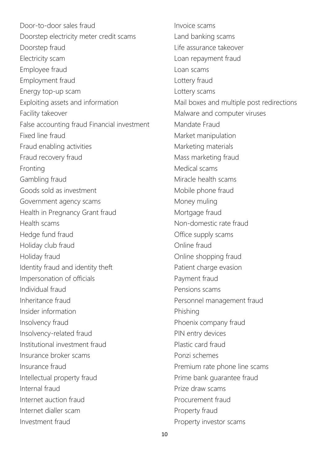Door-to-door sales fraud Doorstep electricity meter credit scams Doorstep fraud Electricity scam Employee fraud Employment fraud Energy top-up scam Exploiting assets and information Facility takeover False accounting fraud Financial investment Fixed line fraud Fraud enabling activities Fraud recovery fraud Fronting Gambling fraud Goods sold as investment Government agency scams Health in Pregnancy Grant fraud Health scams Hedge fund fraud Holiday club fraud Holiday fraud Identity fraud and identity theft Impersonation of officials Individual fraud Inheritance fraud Insider information Insolvency fraud Insolvency-related fraud Institutional investment fraud Insurance broker scams Insurance fraud Intellectual property fraud Internal fraud Internet auction fraud Internet dialler scam Investment fraud

Invoice scams Land banking scams Life assurance takeover Loan repayment fraud Loan scams Lottery fraud Lottery scams Mail boxes and multiple post redirections Malware and computer viruses Mandate Fraud Market manipulation Marketing materials Mass marketing fraud Medical scams Miracle health scams Mobile phone fraud Money muling Mortgage fraud Non-domestic rate fraud Office supply scams Online fraud Online shopping fraud Patient charge evasion Payment fraud Pensions scams Personnel management fraud Phishing Phoenix company fraud PIN entry devices Plastic card fraud Ponzi schemes Premium rate phone line scams Prime bank guarantee fraud Prize draw scams Procurement fraud Property fraud Property investor scams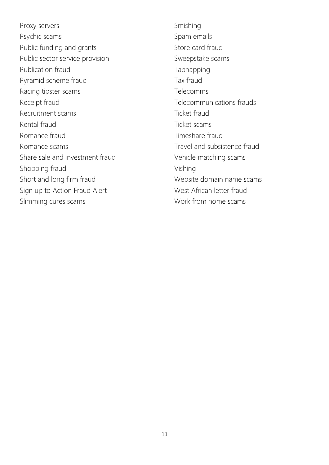Proxy servers Psychic scams Public funding and grants Public sector service provision Publication fraud Pyramid scheme fraud Racing tipster scams Receipt fraud Recruitment scams Rental fraud Romance fraud Romance scams Share sale and investment fraud Shopping fraud Short and long firm fraud Sign up to Action Fraud Alert Slimming cures scams

Smishing Spam emails Store card fraud Sweepstake scams Tabnapping Tax fraud Telecomms Telecommunications frauds Ticket fraud Ticket scams Timeshare fraud Travel and subsistence fraud Vehicle matching scams Vishing Website domain name scams West African letter fraud Work from home scams